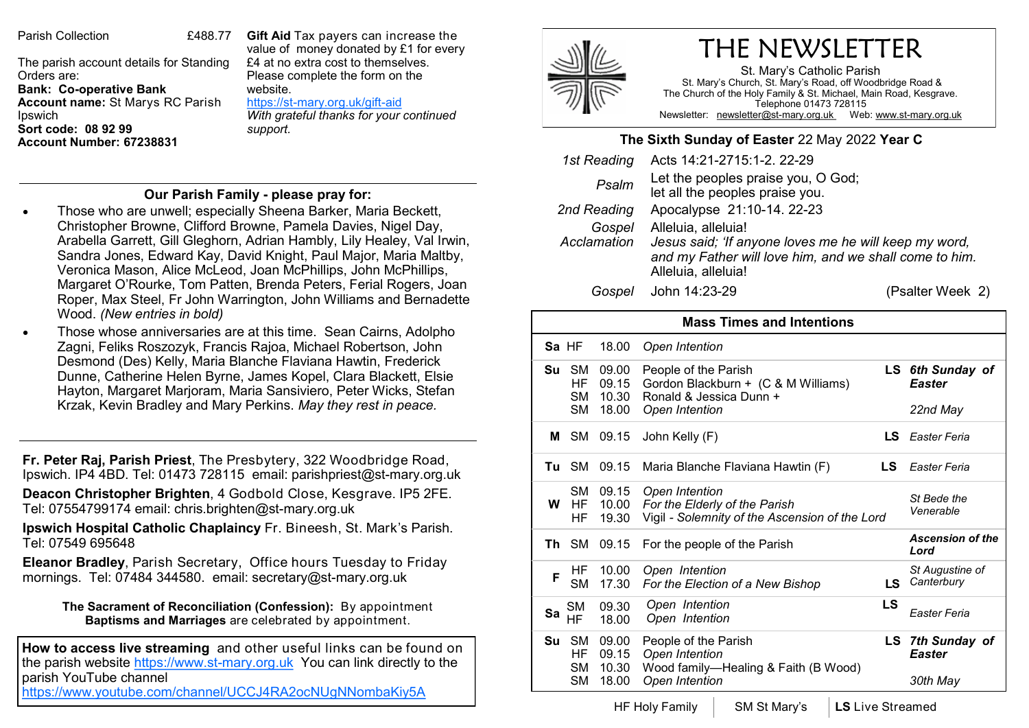Parish Collection 6488.77

The parish account details for Standing Orders are: **Bank: Co-operative Bank Account name:** St Marys RC Parish Ipswich **Sort code: 08 92 99 Account Number: 67238831** 

**Gift Aid** Tax payers can increase the value of money donated by £1 for every £4 at no extra cost to themselves. Please complete the form on the website. https://st-[mary.org.uk/gift](https://www.st-mary.org.uk/gift-aid)-aid

*With grateful thanks for your continued support.*

## **Our Parish Family - please pray for:**

- Those who are unwell; especially Sheena Barker, Maria Beckett, Christopher Browne, Clifford Browne, Pamela Davies, Nigel Day, Arabella Garrett, Gill Gleghorn, Adrian Hambly, Lily Healey, Val Irwin, Sandra Jones, Edward Kay, David Knight, Paul Major, Maria Maltby, Veronica Mason, Alice McLeod, Joan McPhillips, John McPhillips, Margaret O'Rourke, Tom Patten, Brenda Peters, Ferial Rogers, Joan Roper, Max Steel, Fr John Warrington, John Williams and Bernadette Wood. *(New entries in bold)*
- Those whose anniversaries are at this time. Sean Cairns, Adolpho Zagni, Feliks Roszozyk, Francis Rajoa, Michael Robertson, John Desmond (Des) Kelly, Maria Blanche Flaviana Hawtin, Frederick Dunne, Catherine Helen Byrne, James Kopel, Clara Blackett, Elsie Hayton, Margaret Marjoram, Maria Sansiviero, Peter Wicks, Stefan Krzak, Kevin Bradley and Mary Perkins. *May they rest in peace.*

**Fr. Peter Raj, Parish Priest**, The Presbytery, 322 Woodbridge Road, Ipswich. IP4 4BD. Tel: 01473 728115 email: parishpriest@st-mary.org.uk

**Deacon Christopher Brighten**, 4 Godbold Close, Kesgrave. IP5 2FE. Tel: 07554799174 email: chris.brighten@st-mary.org.uk

**Ipswich Hospital Catholic Chaplaincy** Fr. Bineesh, St. Mark's Parish. Tel: 07549 695648

**Eleanor Bradley**, Parish Secretary, Office hours Tuesday to Friday mornings. Tel: 07484 344580. email: secretary@st-mary.org.uk

**The Sacrament of Reconciliation (Confession):** By appointment **Baptisms and Marriages** are celebrated by appointment.

**How to access live streaming** and other useful links can be found on the parish website https://www.st-mary.org.uk You can link directly to the parish YouTube channel

<https://www.youtube.com/channel/UCCJ4RA2ocNUgNNombaKiy5A>



## THE NEWSLETTER

St. Mary's Catholic Parish St. Mary's Church, St. Mary's Road, off Woodbridge Road & The Church of the Holy Family & St. Michael, Main Road, Kesgrave. Telephone 01473 728115 Newsletter: newsletter@st-mary.org.uk Web: www.st-mary.org.uk

## **The Sixth Sunday of Easter** 22 May 2022 **Year C**

| 1st Reading           | Acts 14:21-2715:1-2. 22-29                                            |                                                                                                                 |  |  |
|-----------------------|-----------------------------------------------------------------------|-----------------------------------------------------------------------------------------------------------------|--|--|
| Psalm                 | Let the peoples praise you, O God;<br>let all the peoples praise you. |                                                                                                                 |  |  |
| 2nd Reading           | Apocalypse 21:10-14. 22-23                                            |                                                                                                                 |  |  |
| Gospel<br>Acclamation | Alleluia, alleluia!<br>Alleluia, alleluia!                            | Jesus said; 'If anyone loves me he will keep my word,<br>and my Father will love him, and we shall come to him. |  |  |
| Gospel                | John 14:23-29                                                         | (Psalter Week 2)                                                                                                |  |  |

| <b>Mass Times and Intentions</b> |                                           |                                  |                                                                                                          |      |                                            |  |  |
|----------------------------------|-------------------------------------------|----------------------------------|----------------------------------------------------------------------------------------------------------|------|--------------------------------------------|--|--|
|                                  | Sa HF                                     | 18.00                            | Open Intention                                                                                           |      |                                            |  |  |
| Su                               | SM.<br>HF<br><b>SM</b><br><b>SM</b>       | 09.00<br>09.15<br>10.30<br>18.00 | People of the Parish<br>Gordon Blackburn + (C & M Williams)<br>Ronald & Jessica Dunn +<br>Open Intention | LS l | 6th Sunday of<br>Easter<br>22nd May        |  |  |
| м                                | <b>SM</b>                                 | 09.15                            | John Kelly (F)                                                                                           | LS   | Easter Feria                               |  |  |
| Tu                               | SM.                                       | 09.15                            | Maria Blanche Flaviana Hawtin (F)                                                                        | LS   | Easter Feria                               |  |  |
| W                                | SM -<br>HF.<br>ΗF                         | 09.15<br>10.00<br>19.30          | Open Intention<br>For the Elderly of the Parish<br>Vigil - Solemnity of the Ascension of the Lord        |      | St Bede the<br>Venerable                   |  |  |
| Th                               | SM.                                       | 09.15                            | For the people of the Parish                                                                             |      | <b>Ascension of the</b><br>Lord            |  |  |
| F                                | HF.<br>SM.                                | 10.00<br>17.30                   | Open Intention<br>For the Election of a New Bishop                                                       | LS   | St Augustine of<br>Canterbury              |  |  |
| Sa                               | SМ<br>ΗF                                  | 09.30<br>18.00                   | Open Intention<br>Open Intention                                                                         | LS   | Easter Feria                               |  |  |
| Su                               | <b>SM</b><br>HF<br><b>SM</b><br><b>SM</b> | 09.00<br>09.15<br>10.30<br>18.00 | People of the Parish<br>Open Intention<br>Wood family-Healing & Faith (B Wood)<br>Open Intention         | LS   | 7th Sunday of<br><b>Easter</b><br>30th May |  |  |

HF Holy Family | SM St Mary's | LS Live Streamed